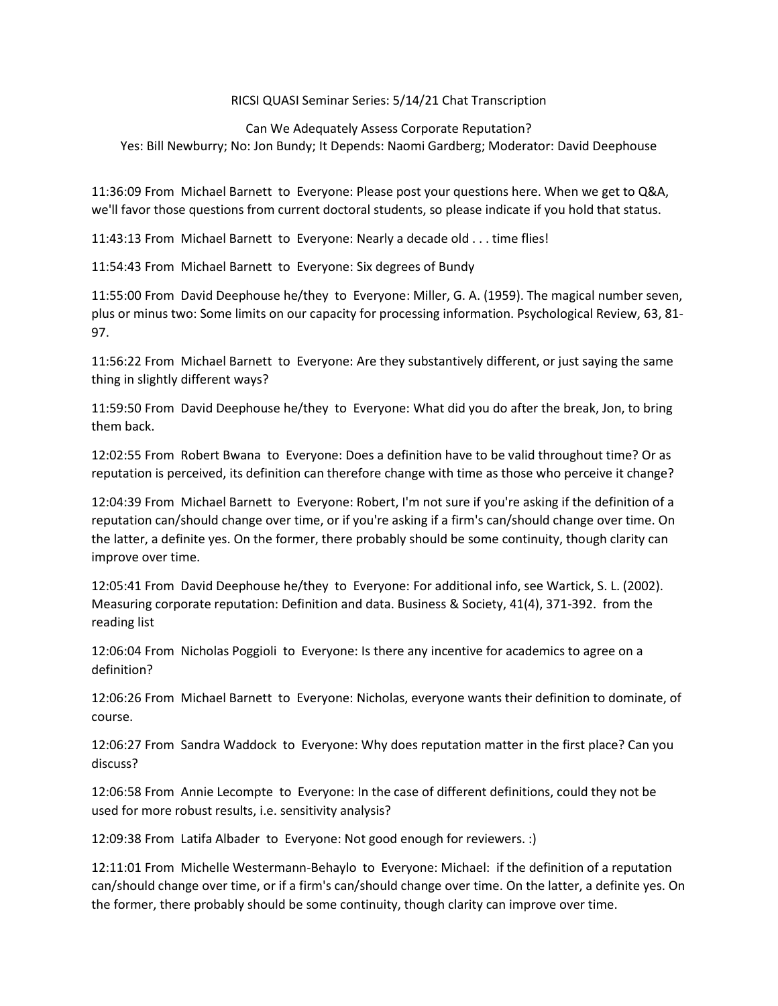## RICSI QUASI Seminar Series: 5/14/21 Chat Transcription

## Can We Adequately Assess Corporate Reputation? Yes: Bill Newburry; No: Jon Bundy; It Depends: Naomi Gardberg; Moderator: David Deephouse

11:36:09 From Michael Barnett to Everyone: Please post your questions here. When we get to Q&A, we'll favor those questions from current doctoral students, so please indicate if you hold that status.

11:43:13 From Michael Barnett to Everyone: Nearly a decade old . . . time flies!

11:54:43 From Michael Barnett to Everyone: Six degrees of Bundy

11:55:00 From David Deephouse he/they to Everyone: Miller, G. A. (1959). The magical number seven, plus or minus two: Some limits on our capacity for processing information. Psychological Review, 63, 81- 97.

11:56:22 From Michael Barnett to Everyone: Are they substantively different, or just saying the same thing in slightly different ways?

11:59:50 From David Deephouse he/they to Everyone: What did you do after the break, Jon, to bring them back.

12:02:55 From Robert Bwana to Everyone: Does a definition have to be valid throughout time? Or as reputation is perceived, its definition can therefore change with time as those who perceive it change?

12:04:39 From Michael Barnett to Everyone: Robert, I'm not sure if you're asking if the definition of a reputation can/should change over time, or if you're asking if a firm's can/should change over time. On the latter, a definite yes. On the former, there probably should be some continuity, though clarity can improve over time.

12:05:41 From David Deephouse he/they to Everyone: For additional info, see Wartick, S. L. (2002). Measuring corporate reputation: Definition and data. Business & Society, 41(4), 371-392. from the reading list

12:06:04 From Nicholas Poggioli to Everyone: Is there any incentive for academics to agree on a definition?

12:06:26 From Michael Barnett to Everyone: Nicholas, everyone wants their definition to dominate, of course.

12:06:27 From Sandra Waddock to Everyone: Why does reputation matter in the first place? Can you discuss?

12:06:58 From Annie Lecompte to Everyone: In the case of different definitions, could they not be used for more robust results, i.e. sensitivity analysis?

12:09:38 From Latifa Albader to Everyone: Not good enough for reviewers. :)

12:11:01 From Michelle Westermann-Behaylo to Everyone: Michael: if the definition of a reputation can/should change over time, or if a firm's can/should change over time. On the latter, a definite yes. On the former, there probably should be some continuity, though clarity can improve over time.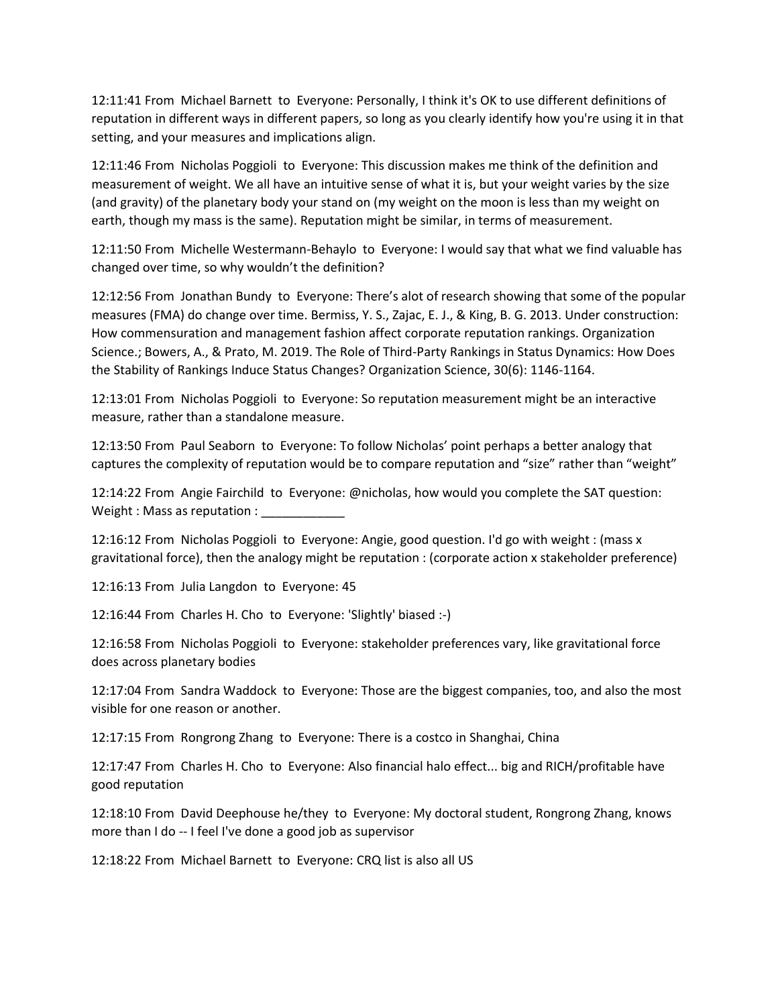12:11:41 From Michael Barnett to Everyone: Personally, I think it's OK to use different definitions of reputation in different ways in different papers, so long as you clearly identify how you're using it in that setting, and your measures and implications align.

12:11:46 From Nicholas Poggioli to Everyone: This discussion makes me think of the definition and measurement of weight. We all have an intuitive sense of what it is, but your weight varies by the size (and gravity) of the planetary body your stand on (my weight on the moon is less than my weight on earth, though my mass is the same). Reputation might be similar, in terms of measurement.

12:11:50 From Michelle Westermann-Behaylo to Everyone: I would say that what we find valuable has changed over time, so why wouldn't the definition?

12:12:56 From Jonathan Bundy to Everyone: There's alot of research showing that some of the popular measures (FMA) do change over time. Bermiss, Y. S., Zajac, E. J., & King, B. G. 2013. Under construction: How commensuration and management fashion affect corporate reputation rankings. Organization Science.; Bowers, A., & Prato, M. 2019. The Role of Third-Party Rankings in Status Dynamics: How Does the Stability of Rankings Induce Status Changes? Organization Science, 30(6): 1146-1164.

12:13:01 From Nicholas Poggioli to Everyone: So reputation measurement might be an interactive measure, rather than a standalone measure.

12:13:50 From Paul Seaborn to Everyone: To follow Nicholas' point perhaps a better analogy that captures the complexity of reputation would be to compare reputation and "size" rather than "weight"

12:14:22 From Angie Fairchild to Everyone: @nicholas, how would you complete the SAT question: Weight : Mass as reputation :

12:16:12 From Nicholas Poggioli to Everyone: Angie, good question. I'd go with weight : (mass x gravitational force), then the analogy might be reputation : (corporate action x stakeholder preference)

12:16:13 From Julia Langdon to Everyone: 45

12:16:44 From Charles H. Cho to Everyone: 'Slightly' biased :-)

12:16:58 From Nicholas Poggioli to Everyone: stakeholder preferences vary, like gravitational force does across planetary bodies

12:17:04 From Sandra Waddock to Everyone: Those are the biggest companies, too, and also the most visible for one reason or another.

12:17:15 From Rongrong Zhang to Everyone: There is a costco in Shanghai, China

12:17:47 From Charles H. Cho to Everyone: Also financial halo effect... big and RICH/profitable have good reputation

12:18:10 From David Deephouse he/they to Everyone: My doctoral student, Rongrong Zhang, knows more than I do -- I feel I've done a good job as supervisor

12:18:22 From Michael Barnett to Everyone: CRQ list is also all US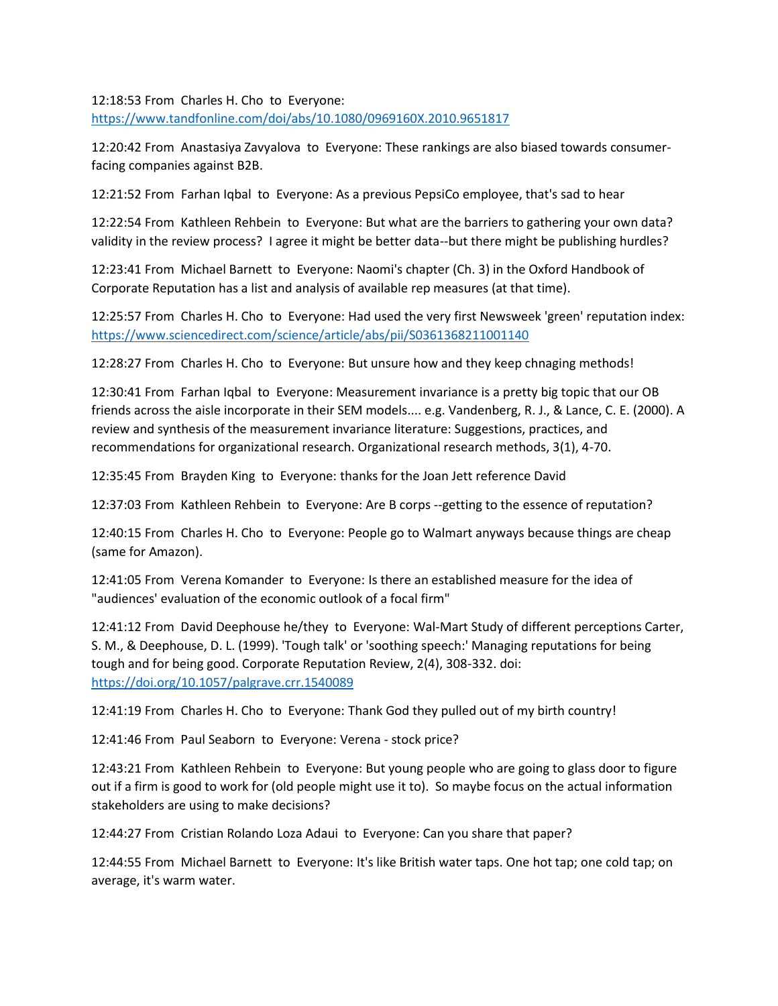12:18:53 From Charles H. Cho to Everyone: <https://www.tandfonline.com/doi/abs/10.1080/0969160X.2010.9651817>

12:20:42 From Anastasiya Zavyalova to Everyone: These rankings are also biased towards consumerfacing companies against B2B.

12:21:52 From Farhan Iqbal to Everyone: As a previous PepsiCo employee, that's sad to hear

12:22:54 From Kathleen Rehbein to Everyone: But what are the barriers to gathering your own data? validity in the review process? I agree it might be better data--but there might be publishing hurdles?

12:23:41 From Michael Barnett to Everyone: Naomi's chapter (Ch. 3) in the Oxford Handbook of Corporate Reputation has a list and analysis of available rep measures (at that time).

12:25:57 From Charles H. Cho to Everyone: Had used the very first Newsweek 'green' reputation index: <https://www.sciencedirect.com/science/article/abs/pii/S0361368211001140>

12:28:27 From Charles H. Cho to Everyone: But unsure how and they keep chnaging methods!

12:30:41 From Farhan Iqbal to Everyone: Measurement invariance is a pretty big topic that our OB friends across the aisle incorporate in their SEM models.... e.g. Vandenberg, R. J., & Lance, C. E. (2000). A review and synthesis of the measurement invariance literature: Suggestions, practices, and recommendations for organizational research. Organizational research methods, 3(1), 4-70.

12:35:45 From Brayden King to Everyone: thanks for the Joan Jett reference David

12:37:03 From Kathleen Rehbein to Everyone: Are B corps --getting to the essence of reputation?

12:40:15 From Charles H. Cho to Everyone: People go to Walmart anyways because things are cheap (same for Amazon).

12:41:05 From Verena Komander to Everyone: Is there an established measure for the idea of "audiences' evaluation of the economic outlook of a focal firm"

12:41:12 From David Deephouse he/they to Everyone: Wal-Mart Study of different perceptions Carter, S. M., & Deephouse, D. L. (1999). 'Tough talk' or 'soothing speech:' Managing reputations for being tough and for being good. Corporate Reputation Review, 2(4), 308-332. doi: <https://doi.org/10.1057/palgrave.crr.1540089>

12:41:19 From Charles H. Cho to Everyone: Thank God they pulled out of my birth country!

12:41:46 From Paul Seaborn to Everyone: Verena - stock price?

12:43:21 From Kathleen Rehbein to Everyone: But young people who are going to glass door to figure out if a firm is good to work for (old people might use it to). So maybe focus on the actual information stakeholders are using to make decisions?

12:44:27 From Cristian Rolando Loza Adaui to Everyone: Can you share that paper?

12:44:55 From Michael Barnett to Everyone: It's like British water taps. One hot tap; one cold tap; on average, it's warm water.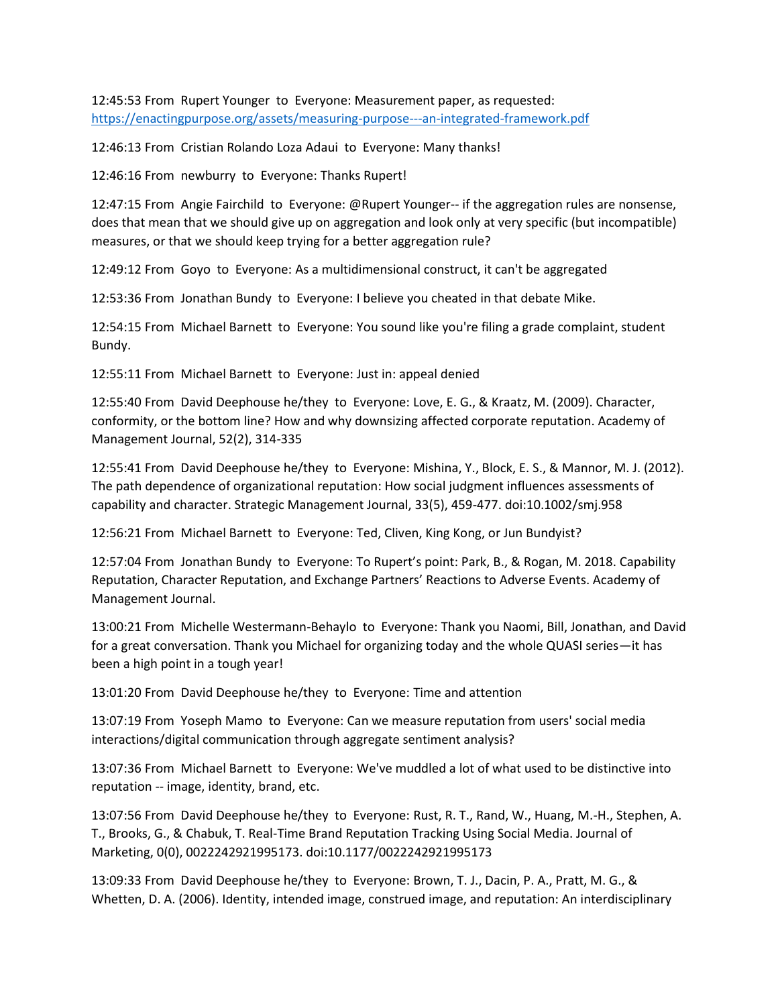12:45:53 From Rupert Younger to Everyone: Measurement paper, as requested: <https://enactingpurpose.org/assets/measuring-purpose---an-integrated-framework.pdf>

12:46:13 From Cristian Rolando Loza Adaui to Everyone: Many thanks!

12:46:16 From newburry to Everyone: Thanks Rupert!

12:47:15 From Angie Fairchild to Everyone: @Rupert Younger-- if the aggregation rules are nonsense, does that mean that we should give up on aggregation and look only at very specific (but incompatible) measures, or that we should keep trying for a better aggregation rule?

12:49:12 From Goyo to Everyone: As a multidimensional construct, it can't be aggregated

12:53:36 From Jonathan Bundy to Everyone: I believe you cheated in that debate Mike.

12:54:15 From Michael Barnett to Everyone: You sound like you're filing a grade complaint, student Bundy.

12:55:11 From Michael Barnett to Everyone: Just in: appeal denied

12:55:40 From David Deephouse he/they to Everyone: Love, E. G., & Kraatz, M. (2009). Character, conformity, or the bottom line? How and why downsizing affected corporate reputation. Academy of Management Journal, 52(2), 314-335

12:55:41 From David Deephouse he/they to Everyone: Mishina, Y., Block, E. S., & Mannor, M. J. (2012). The path dependence of organizational reputation: How social judgment influences assessments of capability and character. Strategic Management Journal, 33(5), 459-477. doi:10.1002/smj.958

12:56:21 From Michael Barnett to Everyone: Ted, Cliven, King Kong, or Jun Bundyist?

12:57:04 From Jonathan Bundy to Everyone: To Rupert's point: Park, B., & Rogan, M. 2018. Capability Reputation, Character Reputation, and Exchange Partners' Reactions to Adverse Events. Academy of Management Journal.

13:00:21 From Michelle Westermann-Behaylo to Everyone: Thank you Naomi, Bill, Jonathan, and David for a great conversation. Thank you Michael for organizing today and the whole QUASI series—it has been a high point in a tough year!

13:01:20 From David Deephouse he/they to Everyone: Time and attention

13:07:19 From Yoseph Mamo to Everyone: Can we measure reputation from users' social media interactions/digital communication through aggregate sentiment analysis?

13:07:36 From Michael Barnett to Everyone: We've muddled a lot of what used to be distinctive into reputation -- image, identity, brand, etc.

13:07:56 From David Deephouse he/they to Everyone: Rust, R. T., Rand, W., Huang, M.-H., Stephen, A. T., Brooks, G., & Chabuk, T. Real-Time Brand Reputation Tracking Using Social Media. Journal of Marketing, 0(0), 0022242921995173. doi:10.1177/0022242921995173

13:09:33 From David Deephouse he/they to Everyone: Brown, T. J., Dacin, P. A., Pratt, M. G., & Whetten, D. A. (2006). Identity, intended image, construed image, and reputation: An interdisciplinary